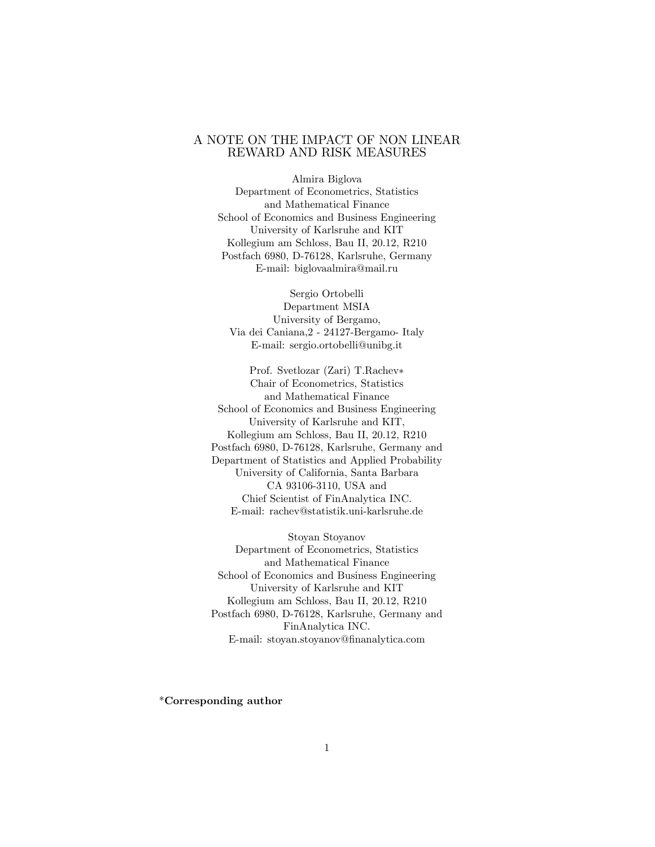### A NOTE ON THE IMPACT OF NON LINEAR REWARD AND RISK MEASURES

Almira Biglova Department of Econometrics, Statistics and Mathematical Finance School of Economics and Business Engineering University of Karlsruhe and KIT Kollegium am Schloss, Bau II, 20.12, R210 Postfach 6980, D-76128, Karlsruhe, Germany E-mail: biglovaalmira@mail.ru

Sergio Ortobelli Department MSIA University of Bergamo, Via dei Caniana,2 - 24127-Bergamo- Italy E-mail: sergio.ortobelli@unibg.it

Prof. Svetlozar (Zari) T.Rachev Chair of Econometrics, Statistics and Mathematical Finance School of Economics and Business Engineering University of Karlsruhe and KIT, Kollegium am Schloss, Bau II, 20.12, R210 Postfach 6980, D-76128, Karlsruhe, Germany and Department of Statistics and Applied Probability University of California, Santa Barbara CA 93106-3110, USA and Chief Scientist of FinAnalytica INC. E-mail: rachev@statistik.uni-karlsruhe.de

Stoyan Stoyanov Department of Econometrics, Statistics and Mathematical Finance School of Economics and Business Engineering University of Karlsruhe and KIT Kollegium am Schloss, Bau II, 20.12, R210 Postfach 6980, D-76128, Karlsruhe, Germany and FinAnalytica INC. E-mail: stoyan.stoyanov@Önanalytica.com

\*Corresponding author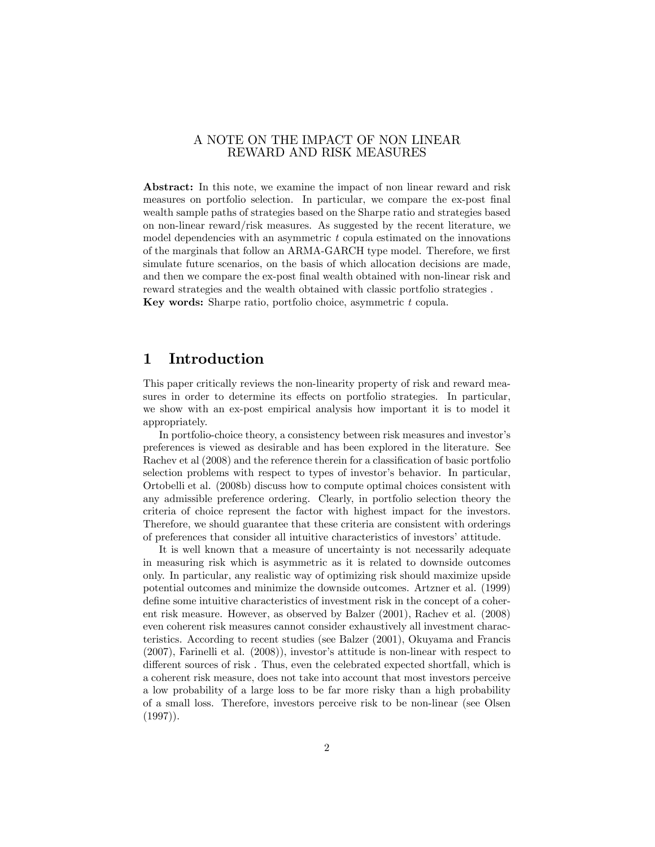### A NOTE ON THE IMPACT OF NON LINEAR REWARD AND RISK MEASURES

Abstract: In this note, we examine the impact of non linear reward and risk measures on portfolio selection. In particular, we compare the ex-post final wealth sample paths of strategies based on the Sharpe ratio and strategies based on non-linear reward/risk measures. As suggested by the recent literature, we model dependencies with an asymmetric  $t$  copula estimated on the innovations of the marginals that follow an ARMA-GARCH type model. Therefore, we first simulate future scenarios, on the basis of which allocation decisions are made, and then we compare the ex-post final wealth obtained with non-linear risk and reward strategies and the wealth obtained with classic portfolio strategies . Key words: Sharpe ratio, portfolio choice, asymmetric t copula.

## 1 Introduction

This paper critically reviews the non-linearity property of risk and reward measures in order to determine its effects on portfolio strategies. In particular, we show with an ex-post empirical analysis how important it is to model it appropriately.

In portfolio-choice theory, a consistency between risk measures and investor's preferences is viewed as desirable and has been explored in the literature. See Rachev et al  $(2008)$  and the reference therein for a classification of basic portfolio selection problems with respect to types of investor's behavior. In particular, Ortobelli et al. (2008b) discuss how to compute optimal choices consistent with any admissible preference ordering. Clearly, in portfolio selection theory the criteria of choice represent the factor with highest impact for the investors. Therefore, we should guarantee that these criteria are consistent with orderings of preferences that consider all intuitive characteristics of investorsíattitude.

It is well known that a measure of uncertainty is not necessarily adequate in measuring risk which is asymmetric as it is related to downside outcomes only. In particular, any realistic way of optimizing risk should maximize upside potential outcomes and minimize the downside outcomes. Artzner et al. (1999) define some intuitive characteristics of investment risk in the concept of a coherent risk measure. However, as observed by Balzer (2001), Rachev et al. (2008) even coherent risk measures cannot consider exhaustively all investment characteristics. According to recent studies (see Balzer (2001), Okuyama and Francis  $(2007)$ , Farinelli et al.  $(2008)$ , investor's attitude is non-linear with respect to different sources of risk. Thus, even the celebrated expected shortfall, which is a coherent risk measure, does not take into account that most investors perceive a low probability of a large loss to be far more risky than a high probability of a small loss. Therefore, investors perceive risk to be non-linear (see Olsen  $(1997)$ .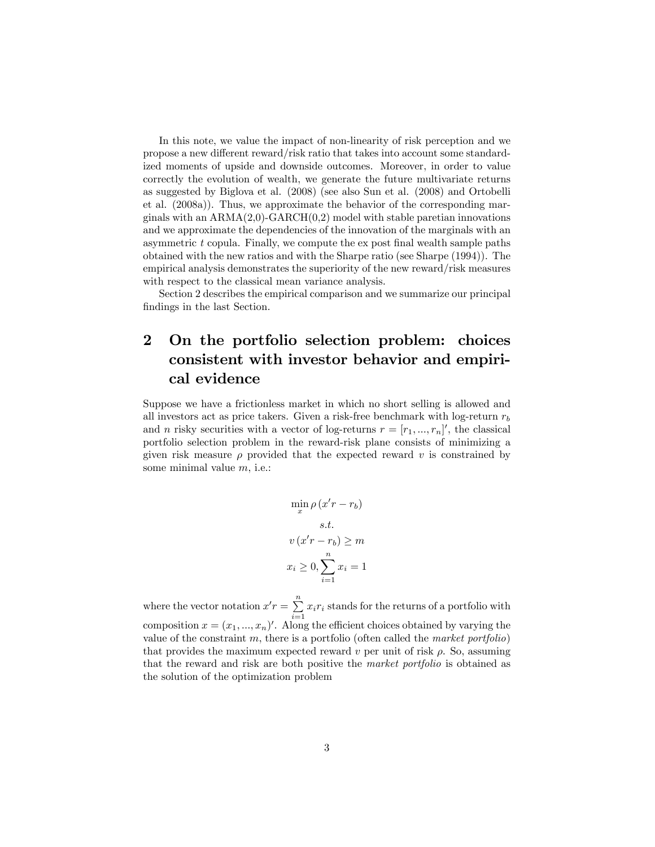In this note, we value the impact of non-linearity of risk perception and we propose a new different reward/risk ratio that takes into account some standardized moments of upside and downside outcomes. Moreover, in order to value correctly the evolution of wealth, we generate the future multivariate returns as suggested by Biglova et al. (2008) (see also Sun et al. (2008) and Ortobelli et al. (2008a)). Thus, we approximate the behavior of the corresponding marginals with an  $ARMA(2,0)$ -GARCH $(0,2)$  model with stable paretian innovations and we approximate the dependencies of the innovation of the marginals with an asymmetric  $t$  copula. Finally, we compute the  $\exp(\frac{t}{t})$  final wealth sample paths obtained with the new ratios and with the Sharpe ratio (see Sharpe (1994)). The empirical analysis demonstrates the superiority of the new reward/risk measures with respect to the classical mean variance analysis.

Section 2 describes the empirical comparison and we summarize our principal findings in the last Section.

# 2 On the portfolio selection problem: choices consistent with investor behavior and empirical evidence

Suppose we have a frictionless market in which no short selling is allowed and all investors act as price takers. Given a risk-free benchmark with log-return  $r_b$ and *n* risky securities with a vector of log-returns  $r = [r_1, ..., r_n]'$ , the classical portfolio selection problem in the reward-risk plane consists of minimizing a given risk measure  $\rho$  provided that the expected reward v is constrained by some minimal value m, i.e.:

$$
\min_{x} \rho (x'r - r_b)
$$
  
s.t.  

$$
v (x'r - r_b) \ge m
$$
  

$$
x_i \ge 0, \sum_{i=1}^{n} x_i = 1
$$

where the vector notation  $x'r = \sum_{n=1}^{\infty}$  $\sum_{i=1} x_i r_i$  stands for the returns of a portfolio with composition  $x = (x_1, ..., x_n)'$ . Along the efficient choices obtained by varying the value of the constraint  $m$ , there is a portfolio (often called the *market portfolio*) that provides the maximum expected reward  $v$  per unit of risk  $\rho$ . So, assuming that the reward and risk are both positive the market portfolio is obtained as the solution of the optimization problem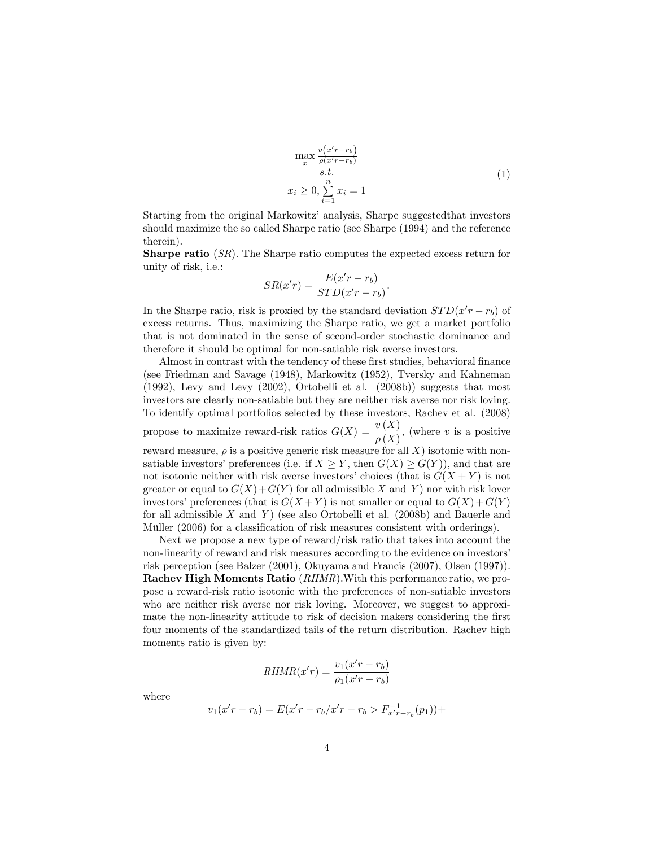$$
\max_{x} \frac{v(x'r - r_b)}{\rho(x'r - r_b)}
$$
  
s.t.  

$$
x_i \ge 0, \sum_{i=1}^{n} x_i = 1
$$
 (1)

Starting from the original Markowitz' analysis, Sharpe suggested that investors should maximize the so called Sharpe ratio (see Sharpe (1994) and the reference therein).

Sharpe ratio (SR). The Sharpe ratio computes the expected excess return for unity of risk, i.e.:

$$
SR(x'r) = \frac{E(x'r - r_b)}{STD(x'r - r_b)}.
$$

In the Sharpe ratio, risk is proxied by the standard deviation  $STD(x'r - r_b)$  of excess returns. Thus, maximizing the Sharpe ratio, we get a market portfolio that is not dominated in the sense of second-order stochastic dominance and therefore it should be optimal for non-satiable risk averse investors.

Almost in contrast with the tendency of these first studies, behavioral finance (see Friedman and Savage (1948), Markowitz (1952), Tversky and Kahneman (1992), Levy and Levy (2002), Ortobelli et al. (2008b)) suggests that most investors are clearly non-satiable but they are neither risk averse nor risk loving. To identify optimal portfolios selected by these investors, Rachev et al. (2008) propose to maximize reward-risk ratios  $G(X) = \frac{v(X)}{\rho(X)}$ , (where v is a positive reward measure,  $\rho$  is a positive generic risk measure for all X) isotonic with nonsatiable investors' preferences (i.e. if  $X \geq Y$ , then  $G(X) \geq G(Y)$ ), and that are not isotonic neither with risk averse investors' choices (that is  $G(X + Y)$  is not greater or equal to  $G(X) + G(Y)$  for all admissible X and Y ) nor with risk lover investors' preferences (that is  $G(X+Y)$  is not smaller or equal to  $G(X) + G(Y)$ for all admissible  $X$  and  $Y$ ) (see also Ortobelli et al. (2008b) and Bauerle and Müller  $(2006)$  for a classification of risk measures consistent with orderings).

Next we propose a new type of reward/risk ratio that takes into account the non-linearity of reward and risk measures according to the evidence on investors' risk perception (see Balzer (2001), Okuyama and Francis (2007), Olsen (1997)). Rachev High Moments Ratio (RHMR).With this performance ratio, we propose a reward-risk ratio isotonic with the preferences of non-satiable investors who are neither risk averse nor risk loving. Moreover, we suggest to approximate the non-linearity attitude to risk of decision makers considering the first four moments of the standardized tails of the return distribution. Rachev high moments ratio is given by:

$$
RHMR(x'r) = \frac{v_1(x'r - r_b)}{\rho_1(x'r - r_b)}
$$

where

$$
v_1(x'r - r_b) = E(x'r - r_b/x'r - r_b > F_{x'r - r_b}^{-1}(p_1)) +
$$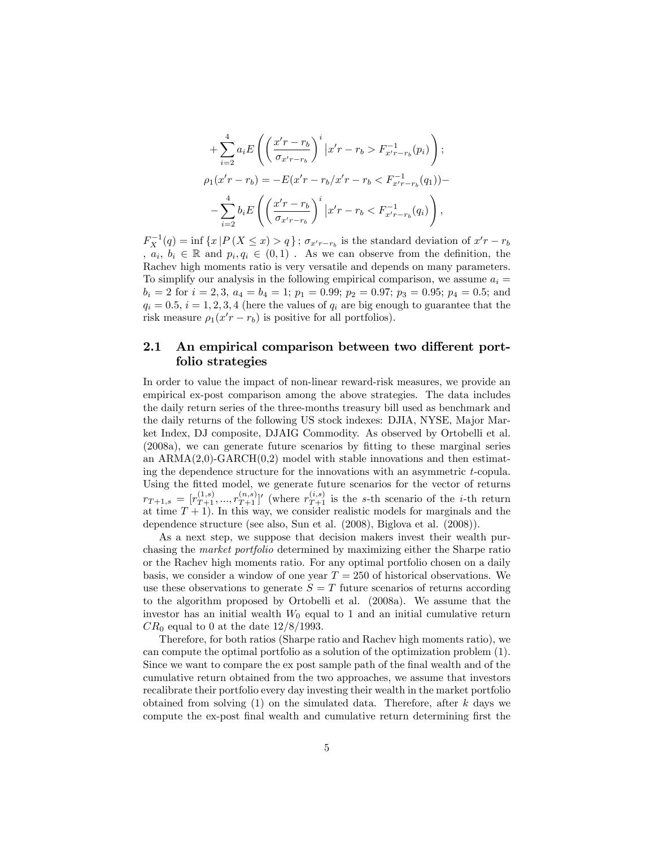$$
+\sum_{i=2}^{4} a_{i} E\left(\left(\frac{x'r-r_{b}}{\sigma_{x'r-r_{b}}}\right)^{i} |x'r-r_{b} > F_{x'r-r_{b}}^{-1}(p_{i})\right);
$$
  

$$
\rho_{1}(x'r-r_{b}) = -E(x'r-r_{b}/x'r-r_{b} < F_{x'r-r_{b}}^{-1}(q_{1})) -
$$
  

$$
-\sum_{i=2}^{4} b_{i} E\left(\left(\frac{x'r-r_{b}}{\sigma_{x'r-r_{b}}}\right)^{i} |x'r-r_{b} < F_{x'r-r_{b}}^{-1}(q_{i})\right),
$$

 $F_X^{-1}(q) = \inf \{x | P(X \le x) > q\}$ ;  $\sigma_{x'r-r_b}$  is the standard deviation of  $x'r - r_b$  $, a_i, b_i \in \mathbb{R}$  and  $p_i, q_i \in (0,1)$ . As we can observe from the definition, the Rachev high moments ratio is very versatile and depends on many parameters. To simplify our analysis in the following empirical comparison, we assume  $a_i =$  $b_i = 2$  for  $i = 2, 3, a_4 = b_4 = 1; p_1 = 0.99; p_2 = 0.97; p_3 = 0.95; p_4 = 0.5;$  and  $q_i = 0.5, i = 1, 2, 3, 4$  (here the values of  $q_i$  are big enough to guarantee that the risk measure  $\rho_1(x^{\prime}r - r_b)$  is positive for all portfolios).

#### 2.1 An empirical comparison between two different portfolio strategies

In order to value the impact of non-linear reward-risk measures, we provide an empirical ex-post comparison among the above strategies. The data includes the daily return series of the three-months treasury bill used as benchmark and the daily returns of the following US stock indexes: DJIA, NYSE, Major Market Index, DJ composite, DJAIG Commodity. As observed by Ortobelli et al.  $(2008a)$ , we can generate future scenarios by fitting to these marginal series an  $ARMA(2,0)-GARCH(0,2)$  model with stable innovations and then estimating the dependence structure for the innovations with an asymmetric t-copula. Using the fitted model, we generate future scenarios for the vector of returns  $r_{T+1,s} = [r_{T+1}^{(1,s)},...,r_{T+1}^{(n,s)}]'$  (where  $r_{T+1}^{(i,s)}$  is the s-th scenario of the *i*-th return at time  $T + 1$ ). In this way, we consider realistic models for marginals and the dependence structure (see also, Sun et al. (2008), Biglova et al. (2008)).

As a next step, we suppose that decision makers invest their wealth purchasing the market portfolio determined by maximizing either the Sharpe ratio or the Rachev high moments ratio. For any optimal portfolio chosen on a daily basis, we consider a window of one year  $T = 250$  of historical observations. We use these observations to generate  $S = T$  future scenarios of returns according to the algorithm proposed by Ortobelli et al. (2008a). We assume that the investor has an initial wealth  $W_0$  equal to 1 and an initial cumulative return  $CR_0$  equal to 0 at the date  $12/8/1993$ .

Therefore, for both ratios (Sharpe ratio and Rachev high moments ratio), we can compute the optimal portfolio as a solution of the optimization problem (1). Since we want to compare the ex post sample path of the final wealth and of the cumulative return obtained from the two approaches, we assume that investors recalibrate their portfolio every day investing their wealth in the market portfolio obtained from solving  $(1)$  on the simulated data. Therefore, after k days we compute the ex-post final wealth and cumulative return determining first the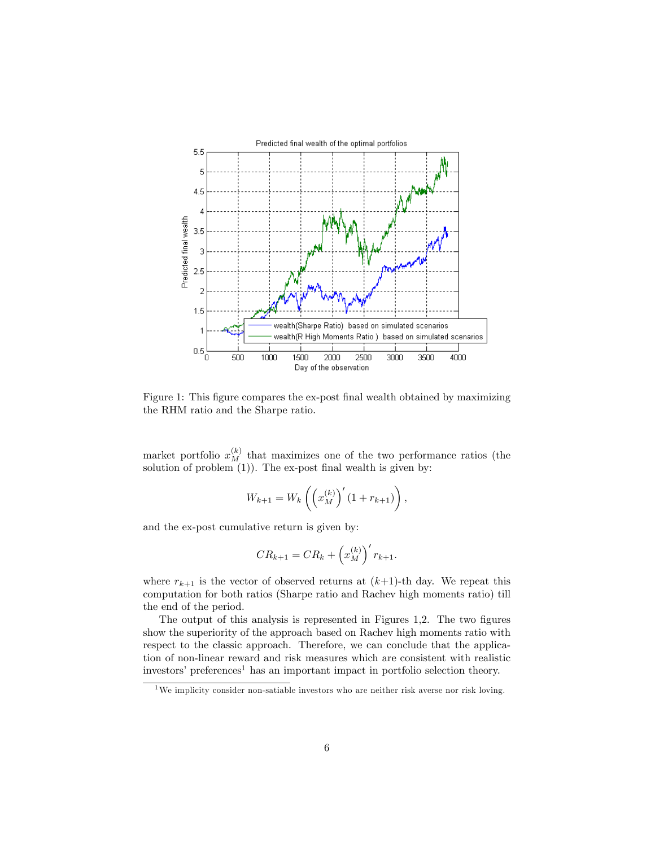

Figure 1: This figure compares the ex-post final wealth obtained by maximizing the RHM ratio and the Sharpe ratio.

market portfolio  $x_M^{(k)}$  that maximizes one of the two performance ratios (the solution of problem  $(1)$ ). The ex-post final wealth is given by:

$$
W_{k+1} = W_k \left( \left( x_M^{(k)} \right)' (1 + r_{k+1}) \right),
$$

and the ex-post cumulative return is given by:

$$
CR_{k+1} = CR_k + \left(x_M^{(k)}\right)' r_{k+1}.
$$

where  $r_{k+1}$  is the vector of observed returns at  $(k+1)$ -th day. We repeat this computation for both ratios (Sharpe ratio and Rachev high moments ratio) till the end of the period.

The output of this analysis is represented in Figures 1,2. The two figures show the superiority of the approach based on Rachev high moments ratio with respect to the classic approach. Therefore, we can conclude that the application of non-linear reward and risk measures which are consistent with realistic investors' preferences<sup>1</sup> has an important impact in portfolio selection theory.

<sup>&</sup>lt;sup>1</sup>We implicity consider non-satiable investors who are neither risk averse nor risk loving.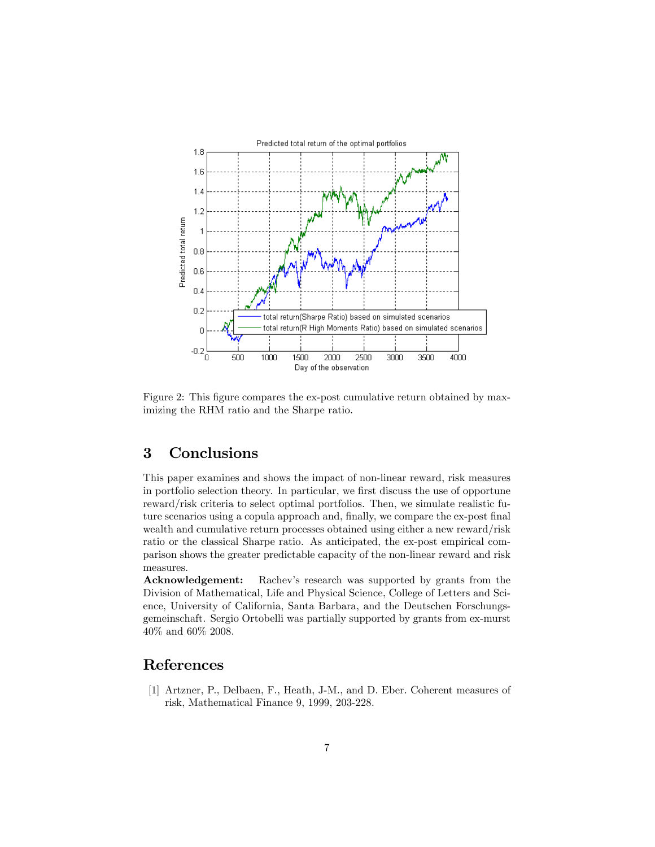

Figure 2: This figure compares the ex-post cumulative return obtained by maximizing the RHM ratio and the Sharpe ratio.

## 3 Conclusions

This paper examines and shows the impact of non-linear reward, risk measures in portfolio selection theory. In particular, we first discuss the use of opportune reward/risk criteria to select optimal portfolios. Then, we simulate realistic future scenarios using a copula approach and, finally, we compare the ex-post final wealth and cumulative return processes obtained using either a new reward/risk ratio or the classical Sharpe ratio. As anticipated, the ex-post empirical comparison shows the greater predictable capacity of the non-linear reward and risk measures.

Acknowledgement: Rachev's research was supported by grants from the Division of Mathematical, Life and Physical Science, College of Letters and Science, University of California, Santa Barbara, and the Deutschen Forschungsgemeinschaft. Sergio Ortobelli was partially supported by grants from ex-murst 40% and 60% 2008.

## References

[1] Artzner, P., Delbaen, F., Heath, J-M., and D. Eber. Coherent measures of risk, Mathematical Finance 9, 1999, 203-228.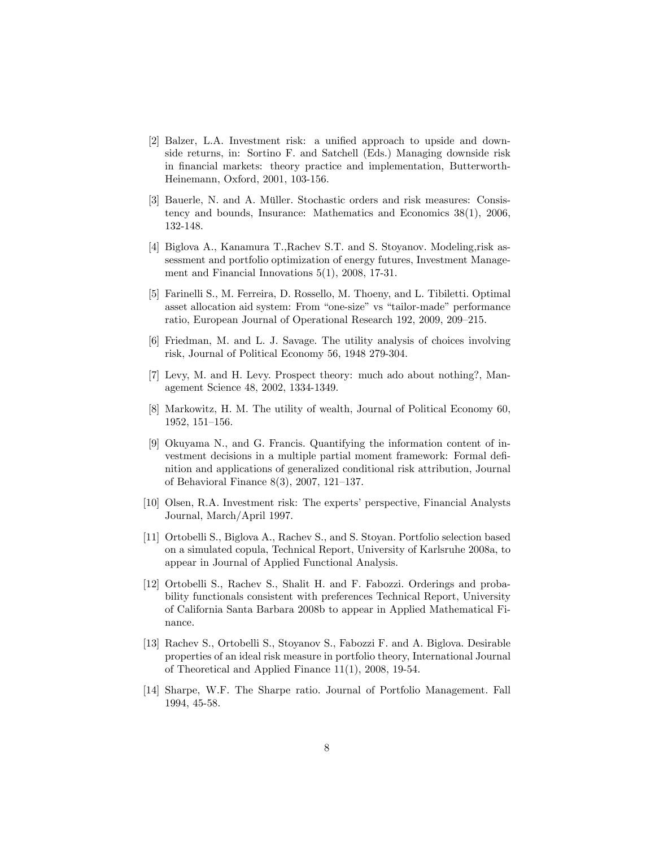- [2] Balzer, L.A. Investment risk: a unified approach to upside and downside returns, in: Sortino F. and Satchell (Eds.) Managing downside risk in Önancial markets: theory practice and implementation, Butterworth-Heinemann, Oxford, 2001, 103-156.
- [3] Bauerle, N. and A. Müller. Stochastic orders and risk measures: Consistency and bounds, Insurance: Mathematics and Economics 38(1), 2006, 132-148.
- [4] Biglova A., Kanamura T.,Rachev S.T. and S. Stoyanov. Modeling,risk assessment and portfolio optimization of energy futures, Investment Management and Financial Innovations 5(1), 2008, 17-31.
- [5] Farinelli S., M. Ferreira, D. Rossello, M. Thoeny, and L. Tibiletti. Optimal asset allocation aid system: From "one-size" vs "tailor-made" performance ratio, European Journal of Operational Research 192, 2009, 209–215.
- [6] Friedman, M. and L. J. Savage. The utility analysis of choices involving risk, Journal of Political Economy 56, 1948 279-304.
- [7] Levy, M. and H. Levy. Prospect theory: much ado about nothing?, Management Science 48, 2002, 1334-1349.
- [8] Markowitz, H. M. The utility of wealth, Journal of Political Economy 60, 1952, 151-156.
- [9] Okuyama N., and G. Francis. Quantifying the information content of investment decisions in a multiple partial moment framework: Formal deÖnition and applications of generalized conditional risk attribution, Journal of Behavioral Finance  $8(3)$ , 2007, 121-137.
- [10] Olsen, R.A. Investment risk: The experts' perspective, Financial Analysts Journal, March/April 1997.
- [11] Ortobelli S., Biglova A., Rachev S., and S. Stoyan. Portfolio selection based on a simulated copula, Technical Report, University of Karlsruhe 2008a, to appear in Journal of Applied Functional Analysis.
- [12] Ortobelli S., Rachev S., Shalit H. and F. Fabozzi. Orderings and probability functionals consistent with preferences Technical Report, University of California Santa Barbara 2008b to appear in Applied Mathematical Finance.
- [13] Rachev S., Ortobelli S., Stoyanov S., Fabozzi F. and A. Biglova. Desirable properties of an ideal risk measure in portfolio theory, International Journal of Theoretical and Applied Finance 11(1), 2008, 19-54.
- [14] Sharpe, W.F. The Sharpe ratio. Journal of Portfolio Management. Fall 1994, 45-58.